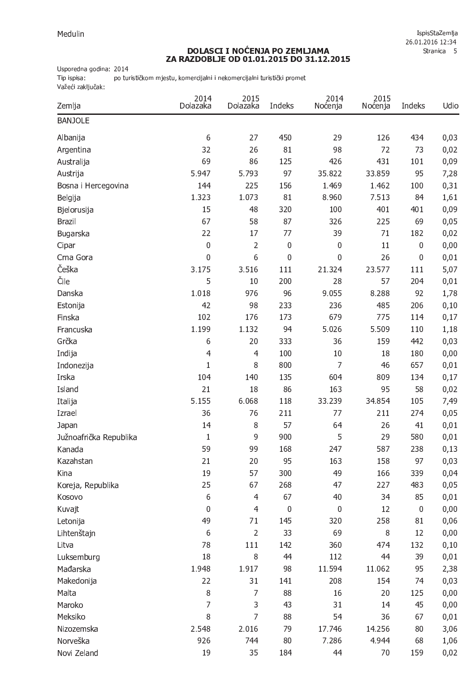## DOLASCI I NOĆENJA PO ZEMLJAMA<br>ZA RAZDOBLJE OD 01.01.2015 DO 31.12.2015

Usporedna godina: 2014

Tip ispisa: po turističkom mjestu, komercijalni i nekomercijalni turistički promet Važeći zaključak:

| Zemlja                 | 2014<br>Dolazaka | 2015<br>Dolazaka | Indeks      | 2014<br>Noćenja | 2015<br>Noćenja | Indeks           | Udio |
|------------------------|------------------|------------------|-------------|-----------------|-----------------|------------------|------|
| <b>BANJOLE</b>         |                  |                  |             |                 |                 |                  |      |
| Albanija               | 6                | 27               | 450         | 29              | 126             | 434              | 0,03 |
| Argentina              | 32               | 26               | 81          | 98              | 72              | 73               | 0,02 |
| Australija             | 69               | 86               | 125         | 426             | 431             | 101              | 0,09 |
| Austrija               | 5.947            | 5.793            | 97          | 35.822          | 33.859          | 95               | 7,28 |
| Bosna i Hercegovina    | 144              | 225              | 156         | 1.469           | 1.462           | 100              | 0,31 |
| Belgija                | 1.323            | 1.073            | 81          | 8.960           | 7.513           | 84               | 1,61 |
| Bjelorusija            | 15               | 48               | 320         | 100             | 401             | 401              | 0,09 |
| <b>Brazil</b>          | 67               | 58               | 87          | 326             | 225             | 69               | 0,05 |
| Bugarska               | 22               | 17               | 77          | 39              | 71              | 182              | 0,02 |
| Cipar                  | $\pmb{0}$        | $\overline{2}$   | $\mathbf 0$ | $\mathbf 0$     | 11              | $\boldsymbol{0}$ | 0,00 |
| Crna Gora              | $\mathbf{0}$     | 6                | $\mathbf 0$ | $\mathbf 0$     | 26              | 0                | 0,01 |
| Češka                  | 3.175            | 3.516            | 111         | 21.324          | 23.577          | 111              | 5,07 |
| Čile                   | 5                | 10               | 200         | 28              | 57              | 204              | 0,01 |
| Danska                 | 1.018            | 976              | 96          | 9.055           | 8.288           | 92               | 1,78 |
| Estonija               | 42               | 98               | 233         | 236             | 485             | 206              | 0,10 |
| Finska                 | 102              | 176              | 173         | 679             | 775             | 114              | 0,17 |
| Francuska              | 1.199            | 1.132            | 94          | 5.026           | 5.509           | 110              | 1,18 |
| Grčka                  | 6                | 20               | 333         | 36              | 159             | 442              | 0,03 |
| Indija                 | 4                | 4                | 100         | 10              | 18              | 180              | 0,00 |
| Indonezija             | $\mathbf{1}$     | 8                | 800         | $\overline{7}$  | 46              | 657              | 0,01 |
| Irska                  | 104              | 140              | 135         | 604             | 809             | 134              | 0,17 |
| Island                 | 21               | 18               | 86          | 163             | 95              | 58               | 0,02 |
| Italija                | 5.155            | 6.068            | 118         | 33.239          | 34.854          | 105              | 7,49 |
| Izrael                 | 36               | 76               | 211         | 77              | 211             | 274              | 0,05 |
| Japan                  | 14               | 8                | 57          | 64              | 26              | 41               | 0,01 |
| Južnoafrička Republika | $\mathbf{1}$     | $\mathsf 9$      | 900         | 5               | 29              | 580              | 0,01 |
| Kanada                 | 59               | 99               | 168         | 247             | 587             | 238              | 0,13 |
| Kazahstan              | 21               | 20               | 95          | 163             | 158             | 97               | 0,03 |
| Kina                   | 19               | 57               | 300         | 49              | 166             | 339              | 0,04 |
| Koreja, Republika      | 25               | 67               | 268         | 47              | 227             | 483              | 0,05 |
| Kosovo                 | 6                | $\overline{4}$   | 67          | 40              | 34              | 85               | 0,01 |
| Kuvajt                 | $\pmb{0}$        | $\overline{4}$   | $\mathbf 0$ | $\mathbf 0$     | 12              | $\boldsymbol{0}$ | 0,00 |
| Letonija               | 49               | 71               | 145         | 320             | 258             | 81               | 0,06 |
| Lihtenštajn            | 6                | $\overline{2}$   | 33          | 69              | $\,8\,$         | 12               | 0,00 |
| Litva                  | 78               | 111              | 142         | 360             | 474             | 132              | 0,10 |
| Luksemburg             | 18               | $\,8\,$          | 44          | 112             | 44              | 39               | 0,01 |
| Mađarska               | 1.948            | 1.917            | 98          | 11.594          | 11.062          | 95               | 2,38 |
| Makedonija             | 22               | 31               | 141         | 208             | 154             | 74               | 0,03 |
| Malta                  | $\, 8$           | 7                | 88          | 16              | 20              | 125              | 0,00 |
| Maroko                 | $\overline{7}$   | 3                | 43          | 31              | 14              | 45               | 0,00 |
| Meksiko                | $\, 8$           | $\overline{7}$   | 88          | 54              | 36              | 67               | 0,01 |
| Nizozemska             | 2.548            | 2.016            | 79          | 17.746          | 14.256          | 80               | 3,06 |
| Norveška               | 926              | 744              | 80          | 7.286           | 4.944           | 68               | 1,06 |
| Novi Zeland            | 19               | 35               | 184         | 44              | 70              | 159              | 0,02 |